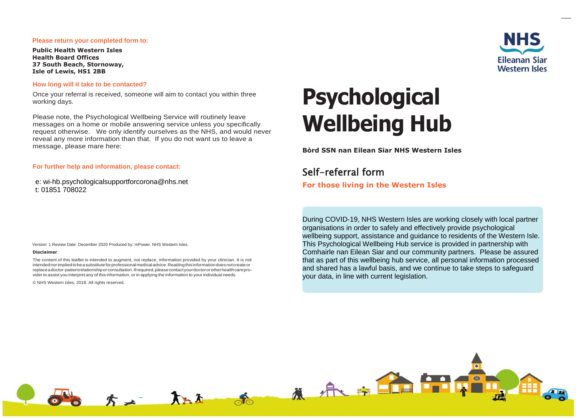#### **Please return your completed form to:**

**Public Health Western Isles Health Board Offices 37 South Beach, Stornoway, Isle of Lewis, HS1 2BB**

#### **How long will it take to be contacted?**

Once your referral is received, someone will aim to contact you within three working days.

Please note, the Psychological Wellbeing Service will routinely leave messages on a home or mobile answering service unless you specifically request otherwise. We only identify ourselves as the NHS, and would never reveal any more information than that. If you do not want us to leave a message, please mare here:

**For further help and information, please contact:**

e: wi-hb.psychologicalsupportforcorona@nhs.net t: 01851 708022

# **Psychological Wellbeing Hub**

**Bòrd SSN nan Eilean Siar NHS Western Isles**

Self-referral form **For those living in the Western Isles**

organisations in order to safely and effectively provide psychological wellbeing support, assistance and guidance to residents of the Western Isle. This Psychological Wellbeing Hub service is provided in partnership with Comhairle nan Eilean Siar and our community partners. Please be assured that as part of this wellbeing hub service, all personal information processed and shared has a lawful basis, and we continue to take steps to safeguard your data, in line with current legislation.

During COVID-19, NHS Western Isles are working closely with local partner

Version: 1 Review Date: December 2020 Produced by: mPower, NHS Western Isles.

#### **Disclaimer**

The content of this leaflet is intended to augment, not replace, information provided by your clinician. It is not intendednorimpliedtobeasubstituteforprofessionalmedicaladvice.Readingthisinformationdoesnotcreateor replaceadoctor-patientrelationshiporconsultation.Ifrequired,pleasecontactyourdoctororotherhealthcareprovider to assist you interpret any of this information, or in applying the information to your individual needs.

© NHS Western Isles, 2018. All rights reserved.